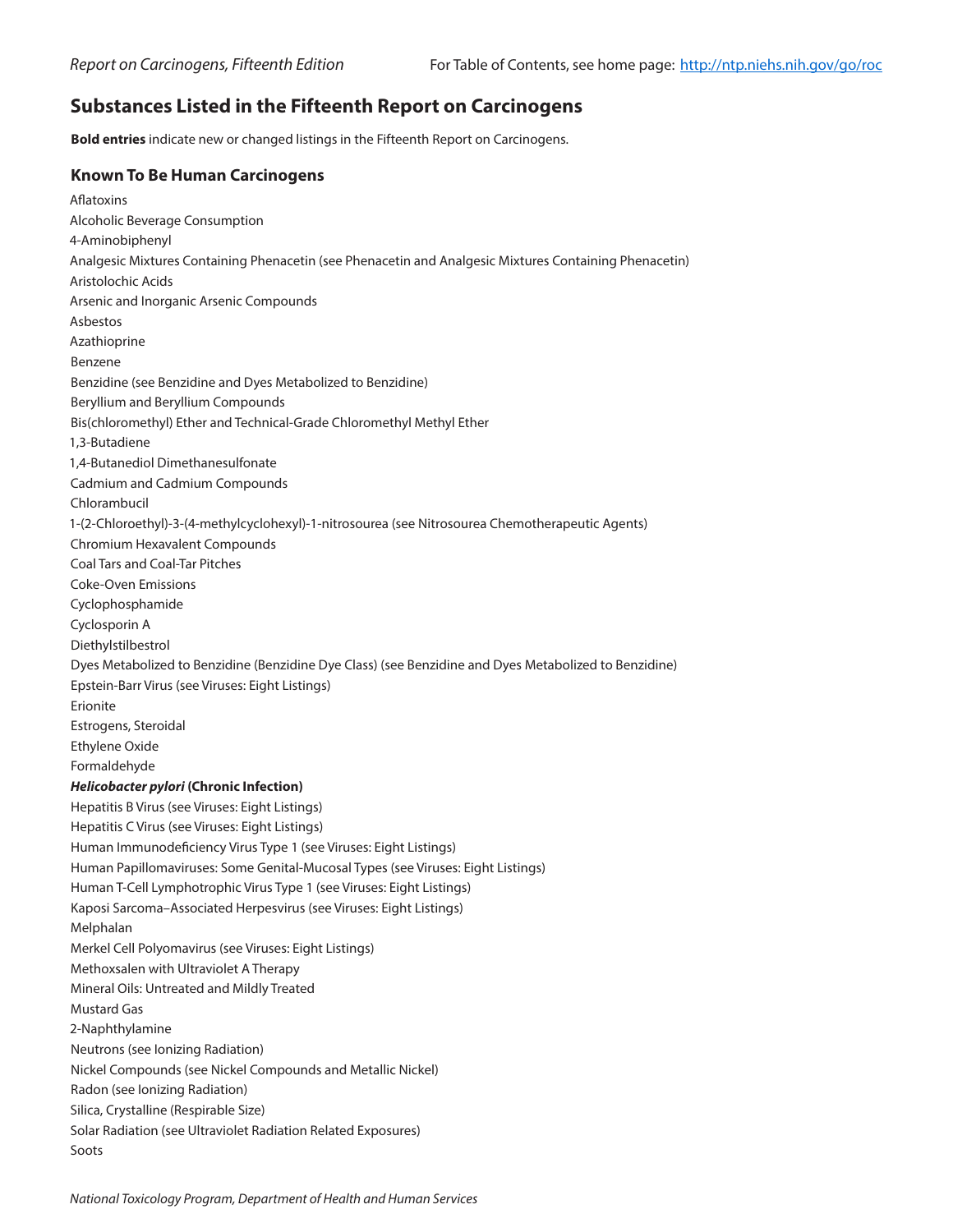# **Substances Listed in the Fifteenth Report on Carcinogens**

**Bold entries** indicate new or changed listings in the Fifteenth Report on Carcinogens.

### **Known To Be Human Carcinogens**

Aflatoxins Alcoholic Beverage Consumption 4‑Aminobiphenyl Analgesic Mixtures Containing Phenacetin (see Phenacetin and Analgesic Mixtures Containing Phenacetin) Aristolochic Acids Arsenic and Inorganic Arsenic Compounds Asbestos Azathioprine Benzene Benzidine (see Benzidine and Dyes Metabolized to Benzidine) Beryllium and Beryllium Compounds Bis(chloromethyl) Ether and Technical-Grade Chloromethyl Methyl Ether 1,3-Butadiene 1,4-Butanediol Dimethanesulfonate Cadmium and Cadmium Compounds Chlorambucil 1-(2-Chloroethyl)-3-(4-methylcyclohexyl)-1-nitrosourea (see Nitrosourea Chemotherapeutic Agents) Chromium Hexavalent Compounds Coal Tars and Coal-Tar Pitches Coke-Oven Emissions Cyclophosphamide Cyclosporin A Diethylstilbestrol Dyes Metabolized to Benzidine (Benzidine Dye Class) (see Benzidine and Dyes Metabolized to Benzidine) Epstein-Barr Virus (see Viruses: Eight Listings) Erionite Estrogens, Steroidal Ethylene Oxide Formaldehyde *Helicobacter pylori* **(Chronic Infection)** Hepatitis B Virus (see Viruses: Eight Listings) Hepatitis C Virus (see Viruses: Eight Listings) Human Immunodeficiency Virus Type 1 (see Viruses: Eight Listings) Human Papillomaviruses: Some Genital-Mucosal Types (see Viruses: Eight Listings) Human T-Cell Lymphotrophic Virus Type 1 (see Viruses: Eight Listings) Kaposi Sarcoma–Associated Herpesvirus (see Viruses: Eight Listings) Melphalan Merkel Cell Polyomavirus (see Viruses: Eight Listings) Methoxsalen with Ultraviolet A Therapy Mineral Oils: Untreated and Mildly Treated Mustard Gas 2-Naphthylamine Neutrons (see Ionizing Radiation) Nickel Compounds (see Nickel Compounds and Metallic Nickel) Radon (see Ionizing Radiation) Silica, Crystalline (Respirable Size) Solar Radiation (see Ultraviolet Radiation Related Exposures) Soots

*National Toxicology Program, Department of Health and Human Services*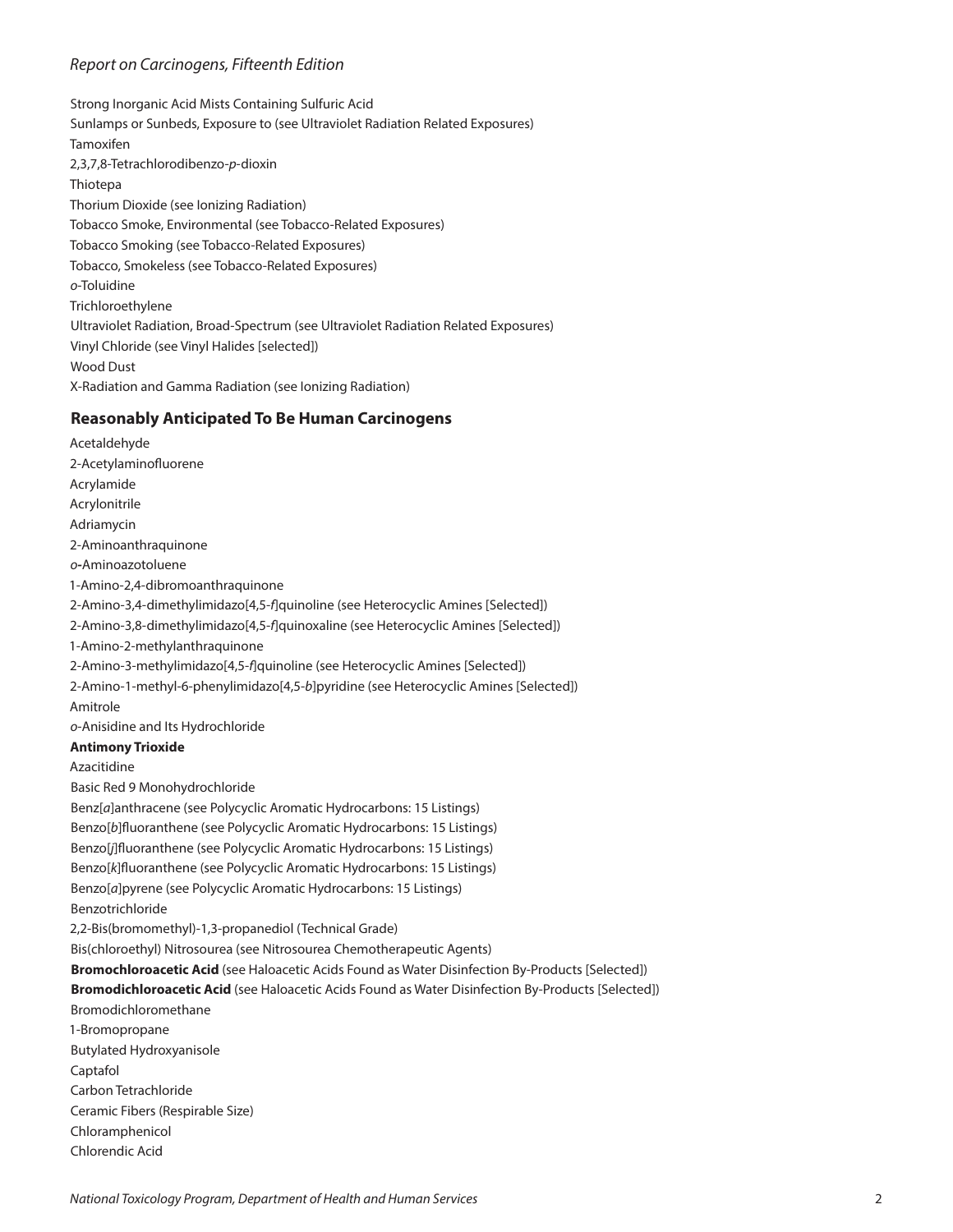### *Report on Carcinogens, Fifteenth Edition*

Strong Inorganic Acid Mists Containing Sulfuric Acid Sunlamps or Sunbeds, Exposure to (see Ultraviolet Radiation Related Exposures) Tamoxifen 2,3,7,8-Tetrachlorodibenzo-*p*-dioxin Thiotepa Thorium Dioxide (see Ionizing Radiation) Tobacco Smoke, Environmental (see Tobacco-Related Exposures) Tobacco Smoking (see Tobacco-Related Exposures) Tobacco, Smokeless (see Tobacco-Related Exposures) *o*‑Toluidine Trichloroethylene Ultraviolet Radiation, Broad-Spectrum (see Ultraviolet Radiation Related Exposures) Vinyl Chloride (see Vinyl Halides [selected]) Wood Dust X-Radiation and Gamma Radiation (see Ionizing Radiation)

#### **Reasonably Anticipated To Be Human Carcinogens**

Acetaldehyde 2‑Acetylaminofluorene Acrylamide Acrylonitrile Adriamycin 2‑Aminoanthraquinone *o‑*Aminoazotoluene 1-Amino-2,4-dibromoanthraquinone 2‑Amino-3,4-dimethylimidazo[4,5‑*f*]quinoline (see Heterocyclic Amines [Selected]) 2‑Amino-3,8-dimethylimidazo[4,5‑*f*]quinoxaline (see Heterocyclic Amines [Selected]) 1‑Amino-2-methylanthraquinone 2‑Amino-3-methylimidazo[4,5‑*f*]quinoline (see Heterocyclic Amines [Selected]) 2‑Amino-1-methyl-6-phenylimidazo[4,5‑*b*]pyridine (see Heterocyclic Amines [Selected]) Amitrole *o*-Anisidine and Its Hydrochloride **Antimony Trioxide** Azacitidine Basic Red 9 Monohydrochloride Benz[*a*]anthracene (see Polycyclic Aromatic Hydrocarbons: 15 Listings) Benzo[*b*]fluoranthene (see Polycyclic Aromatic Hydrocarbons: 15 Listings) Benzo[*j*]fluoranthene (see Polycyclic Aromatic Hydrocarbons: 15 Listings) Benzo[*k*]fluoranthene (see Polycyclic Aromatic Hydrocarbons: 15 Listings) Benzo[*a*]pyrene (see Polycyclic Aromatic Hydrocarbons: 15 Listings) Benzotrichloride 2,2-Bis(bromomethyl)-1,3-propanediol (Technical Grade) Bis(chloroethyl) Nitrosourea (see Nitrosourea Chemotherapeutic Agents) **Bromochloroacetic Acid** (see Haloacetic Acids Found as Water Disinfection By-Products [Selected]) **Bromodichloroacetic Acid** (see Haloacetic Acids Found as Water Disinfection By-Products [Selected]) Bromodichloromethane 1-Bromopropane Butylated Hydroxyanisole Captafol Carbon Tetrachloride Ceramic Fibers (Respirable Size) Chloramphenicol Chlorendic Acid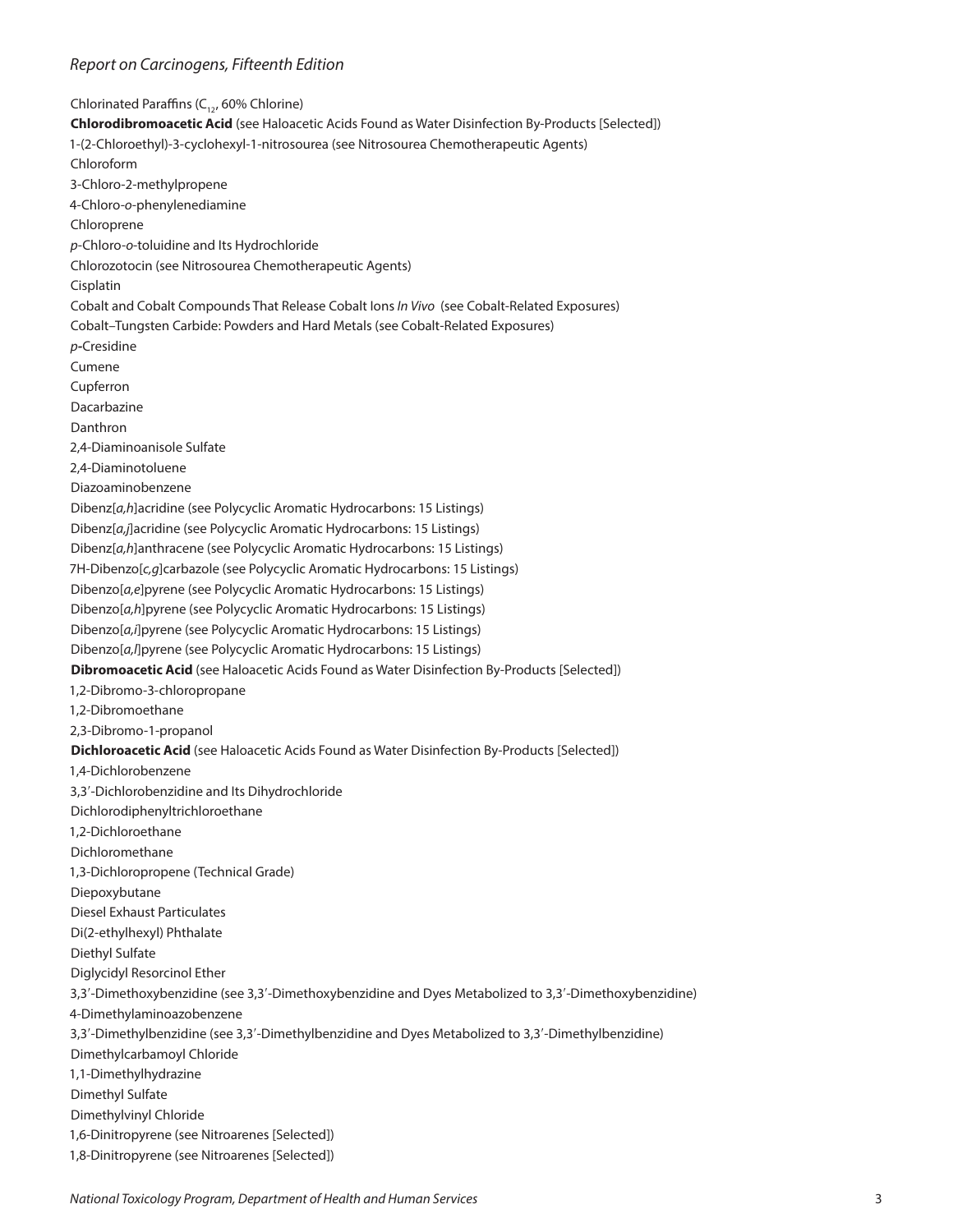Chlorinated Paraffins  $(C_{12}, 60\%$  Chlorine) **Chlorodibromoacetic Acid** (see Haloacetic Acids Found as Water Disinfection By-Products [Selected]) 1-(2-Chloroethyl)-3-cyclohexyl-1-nitrosourea (see Nitrosourea Chemotherapeutic Agents) Chloroform 3-Chloro-2-methylpropene 4-Chloro-*o*-phenylenediamine Chloroprene *p*-Chloro-*o*-toluidine and Its Hydrochloride Chlorozotocin (see Nitrosourea Chemotherapeutic Agents) Cisplatin Cobalt and Cobalt Compounds That Release Cobalt Ions *In Vivo* (see Cobalt-Related Exposures) Cobalt–Tungsten Carbide: Powders and Hard Metals (see Cobalt-Related Exposures) *p‑*Cresidine Cumene Cupferron Dacarbazine Danthron 2,4‑Diaminoanisole Sulfate 2,4‑Diaminotoluene Diazoaminobenzene Dibenz[*a,h*]acridine (see Polycyclic Aromatic Hydrocarbons: 15 Listings) Dibenz[*a,j*]acridine (see Polycyclic Aromatic Hydrocarbons: 15 Listings) Dibenz[*a,h*]anthracene (see Polycyclic Aromatic Hydrocarbons: 15 Listings) 7H-Dibenzo[*c,g*]carbazole (see Polycyclic Aromatic Hydrocarbons: 15 Listings) Dibenzo[*a,e*]pyrene (see Polycyclic Aromatic Hydrocarbons: 15 Listings) Dibenzo[*a,h*]pyrene (see Polycyclic Aromatic Hydrocarbons: 15 Listings) Dibenzo[*a,i*]pyrene (see Polycyclic Aromatic Hydrocarbons: 15 Listings) Dibenzo[*a,l*]pyrene (see Polycyclic Aromatic Hydrocarbons: 15 Listings) **Dibromoacetic Acid** (see Haloacetic Acids Found as Water Disinfection By-Products [Selected]) 1,2-Dibromo-3-chloropropane 1,2-Dibromoethane 2,3-Dibromo-1-propanol **Dichloroacetic Acid** (see Haloacetic Acids Found as Water Disinfection By-Products [Selected]) 1,4-Dichlorobenzene 3,3′-Dichlorobenzidine and Its Dihydrochloride Dichlorodiphenyltrichloroethane 1,2-Dichloroethane Dichloromethane 1,3-Dichloropropene (Technical Grade) Diepoxybutane Diesel Exhaust Particulates Di(2-ethylhexyl) Phthalate Diethyl Sulfate Diglycidyl Resorcinol Ether 3,3′-Dimethoxybenzidine (see 3,3′-Dimethoxybenzidine and Dyes Metabolized to 3,3′-Dimethoxybenzidine) 4‑Dimethylaminoazobenzene 3,3′-Dimethylbenzidine (see 3,3′-Dimethylbenzidine and Dyes Metabolized to 3,3′-Dimethylbenzidine) Dimethylcarbamoyl Chloride 1,1‑Dimethylhydrazine Dimethyl Sulfate Dimethylvinyl Chloride 1,6-Dinitropyrene (see Nitroarenes [Selected]) 1,8-Dinitropyrene (see Nitroarenes [Selected])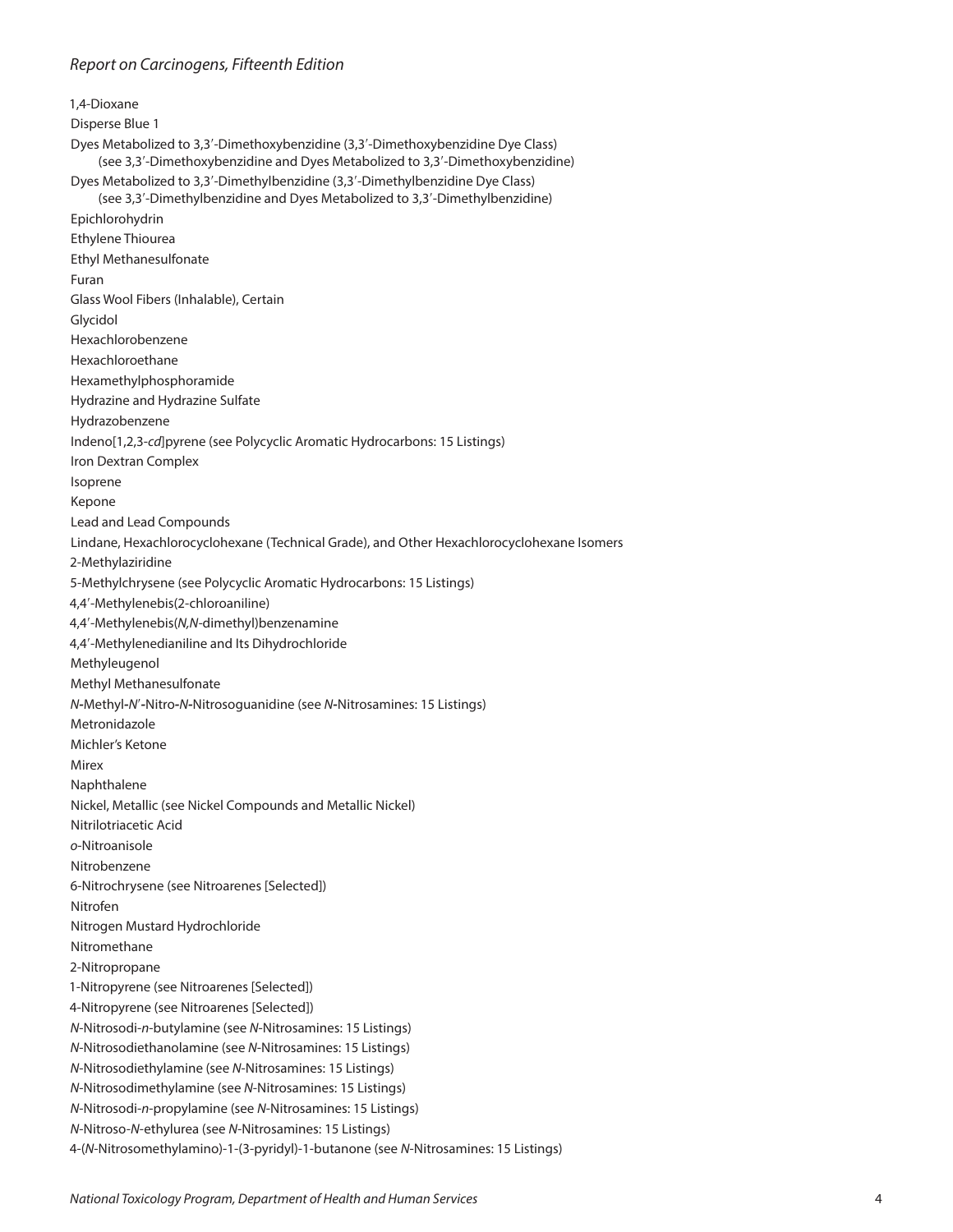# *Report on Carcinogens, Fifteenth Edition*

| 1,4-Dioxane                                                                                                                                                      |
|------------------------------------------------------------------------------------------------------------------------------------------------------------------|
| Disperse Blue 1                                                                                                                                                  |
| Dyes Metabolized to 3,3'-Dimethoxybenzidine (3,3'-Dimethoxybenzidine Dye Class)<br>(see 3,3'-Dimethoxybenzidine and Dyes Metabolized to 3,3'-Dimethoxybenzidine) |
| Dyes Metabolized to 3,3'-Dimethylbenzidine (3,3'-Dimethylbenzidine Dye Class)<br>(see 3,3'-Dimethylbenzidine and Dyes Metabolized to 3,3'-Dimethylbenzidine)     |
| Epichlorohydrin                                                                                                                                                  |
| Ethylene Thiourea                                                                                                                                                |
| <b>Ethyl Methanesulfonate</b>                                                                                                                                    |
| Furan                                                                                                                                                            |
| Glass Wool Fibers (Inhalable), Certain                                                                                                                           |
| Glycidol                                                                                                                                                         |
| Hexachlorobenzene                                                                                                                                                |
| Hexachloroethane                                                                                                                                                 |
|                                                                                                                                                                  |
| Hexamethylphosphoramide                                                                                                                                          |
| Hydrazine and Hydrazine Sulfate                                                                                                                                  |
| Hydrazobenzene                                                                                                                                                   |
| Indeno[1,2,3-cd]pyrene (see Polycyclic Aromatic Hydrocarbons: 15 Listings)                                                                                       |
| Iron Dextran Complex                                                                                                                                             |
| Isoprene                                                                                                                                                         |
| Kepone                                                                                                                                                           |
| Lead and Lead Compounds                                                                                                                                          |
| Lindane, Hexachlorocyclohexane (Technical Grade), and Other Hexachlorocyclohexane Isomers                                                                        |
| 2-Methylaziridine                                                                                                                                                |
| 5-Methylchrysene (see Polycyclic Aromatic Hydrocarbons: 15 Listings)                                                                                             |
| 4,4'-Methylenebis(2-chloroaniline)                                                                                                                               |
| 4,4'-Methylenebis(N,N-dimethyl)benzenamine                                                                                                                       |
| 4,4'-Methylenedianiline and Its Dihydrochloride                                                                                                                  |
| Methyleugenol                                                                                                                                                    |
| Methyl Methanesulfonate                                                                                                                                          |
| N-Methyl-N'-Nitro-N-Nitrosoguanidine (see N-Nitrosamines: 15 Listings)                                                                                           |
| Metronidazole                                                                                                                                                    |
| Michler's Ketone                                                                                                                                                 |
| Mirex                                                                                                                                                            |
| Naphthalene                                                                                                                                                      |
| Nickel, Metallic (see Nickel Compounds and Metallic Nickel)                                                                                                      |
| Nitrilotriacetic Acid                                                                                                                                            |
| o-Nitroanisole                                                                                                                                                   |
| Nitrobenzene                                                                                                                                                     |
| 6-Nitrochrysene (see Nitroarenes [Selected])                                                                                                                     |
| <b>Nitrofen</b>                                                                                                                                                  |
| Nitrogen Mustard Hydrochloride                                                                                                                                   |
| Nitromethane                                                                                                                                                     |
| 2-Nitropropane                                                                                                                                                   |
| 1-Nitropyrene (see Nitroarenes [Selected])                                                                                                                       |
| 4-Nitropyrene (see Nitroarenes [Selected])                                                                                                                       |
| N-Nitrosodi-n-butylamine (see N-Nitrosamines: 15 Listings)                                                                                                       |
| N-Nitrosodiethanolamine (see N-Nitrosamines: 15 Listings)                                                                                                        |
| N-Nitrosodiethylamine (see N-Nitrosamines: 15 Listings)                                                                                                          |
| N-Nitrosodimethylamine (see N-Nitrosamines: 15 Listings)                                                                                                         |
| N-Nitrosodi-n-propylamine (see N-Nitrosamines: 15 Listings)                                                                                                      |
| N-Nitroso-N-ethylurea (see N-Nitrosamines: 15 Listings)                                                                                                          |
| 4-(N-Nitrosomethylamino)-1-(3-pyridyl)-1-butanone (see N-Nitrosamines: 15 Listings)                                                                              |
|                                                                                                                                                                  |